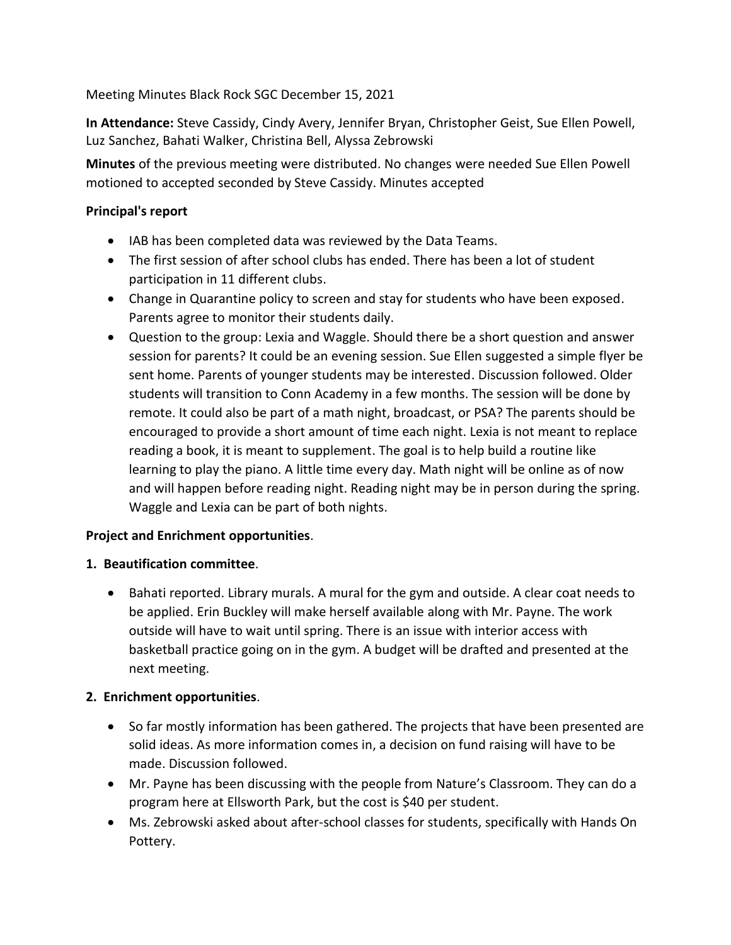Meeting Minutes Black Rock SGC December 15, 2021

**In Attendance:** Steve Cassidy, Cindy Avery, Jennifer Bryan, Christopher Geist, Sue Ellen Powell, Luz Sanchez, Bahati Walker, Christina Bell, Alyssa Zebrowski

**Minutes** of the previous meeting were distributed. No changes were needed Sue Ellen Powell motioned to accepted seconded by Steve Cassidy. Minutes accepted

## **Principal's report**

- IAB has been completed data was reviewed by the Data Teams.
- The first session of after school clubs has ended. There has been a lot of student participation in 11 different clubs.
- Change in Quarantine policy to screen and stay for students who have been exposed. Parents agree to monitor their students daily.
- Question to the group: Lexia and Waggle. Should there be a short question and answer session for parents? It could be an evening session. Sue Ellen suggested a simple flyer be sent home. Parents of younger students may be interested. Discussion followed. Older students will transition to Conn Academy in a few months. The session will be done by remote. It could also be part of a math night, broadcast, or PSA? The parents should be encouraged to provide a short amount of time each night. Lexia is not meant to replace reading a book, it is meant to supplement. The goal is to help build a routine like learning to play the piano. A little time every day. Math night will be online as of now and will happen before reading night. Reading night may be in person during the spring. Waggle and Lexia can be part of both nights.

### **Project and Enrichment opportunities**.

### **1. Beautification committee**.

• Bahati reported. Library murals. A mural for the gym and outside. A clear coat needs to be applied. Erin Buckley will make herself available along with Mr. Payne. The work outside will have to wait until spring. There is an issue with interior access with basketball practice going on in the gym. A budget will be drafted and presented at the next meeting.

# **2. Enrichment opportunities**.

- So far mostly information has been gathered. The projects that have been presented are solid ideas. As more information comes in, a decision on fund raising will have to be made. Discussion followed.
- Mr. Payne has been discussing with the people from Nature's Classroom. They can do a program here at Ellsworth Park, but the cost is \$40 per student.
- Ms. Zebrowski asked about after-school classes for students, specifically with Hands On Pottery.